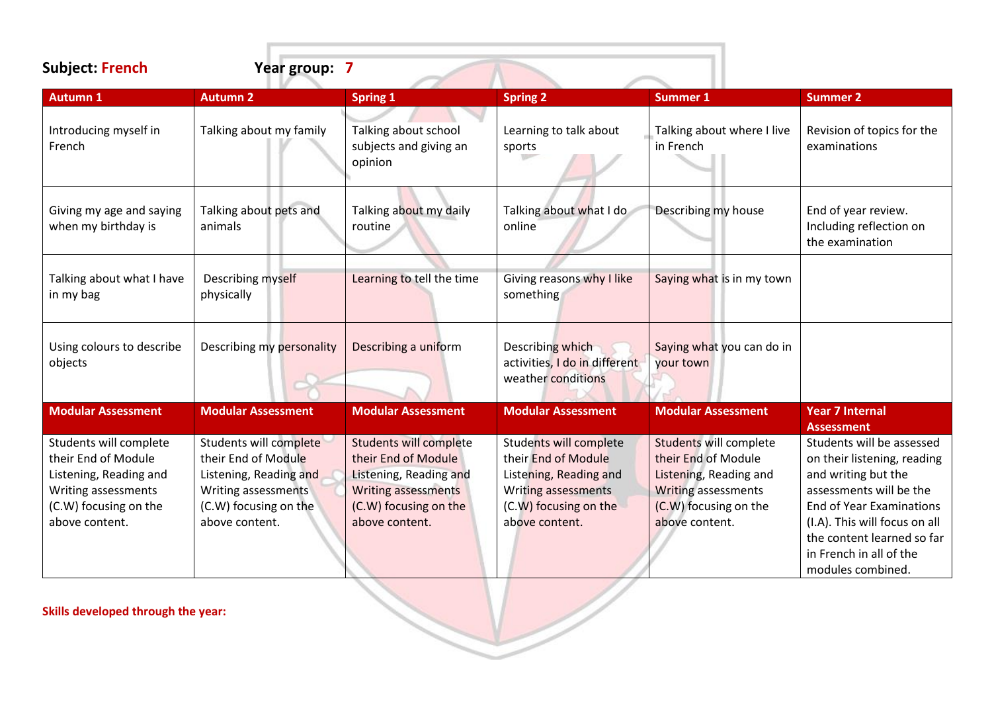| <b>Subject: French</b> | Year group: 7 |
|------------------------|---------------|

| <b>Subject: French</b>                                                                                                                    | Year group: 7                                                                                                                             |                                                                                                                                                         |                                                                                                                                                  |                                                                                                                                                  |                                                                                                                                                                                                                                                              |
|-------------------------------------------------------------------------------------------------------------------------------------------|-------------------------------------------------------------------------------------------------------------------------------------------|---------------------------------------------------------------------------------------------------------------------------------------------------------|--------------------------------------------------------------------------------------------------------------------------------------------------|--------------------------------------------------------------------------------------------------------------------------------------------------|--------------------------------------------------------------------------------------------------------------------------------------------------------------------------------------------------------------------------------------------------------------|
| <b>Autumn 1</b>                                                                                                                           | <b>Autumn 2</b>                                                                                                                           | <b>Spring 1</b>                                                                                                                                         | <b>Spring 2</b>                                                                                                                                  | <b>Summer 1</b>                                                                                                                                  | <b>Summer 2</b>                                                                                                                                                                                                                                              |
| Introducing myself in<br>French                                                                                                           | Talking about my family                                                                                                                   | Talking about school<br>subjects and giving an<br>opinion                                                                                               | Learning to talk about<br>sports                                                                                                                 | Talking about where I live<br>in French                                                                                                          | Revision of topics for the<br>examinations                                                                                                                                                                                                                   |
| Giving my age and saying<br>when my birthday is                                                                                           | Talking about pets and<br>animals                                                                                                         | Talking about my daily<br>routine                                                                                                                       | Talking about what I do<br>online                                                                                                                | Describing my house                                                                                                                              | End of year review.<br>Including reflection on<br>the examination                                                                                                                                                                                            |
| Talking about what I have<br>in my bag                                                                                                    | Describing myself<br>physically                                                                                                           | Learning to tell the time                                                                                                                               | Giving reasons why I like<br>something                                                                                                           | Saying what is in my town                                                                                                                        |                                                                                                                                                                                                                                                              |
| Using colours to describe<br>objects                                                                                                      | Describing my personality                                                                                                                 | Describing a uniform                                                                                                                                    | Describing which<br>activities, I do in different<br>weather conditions                                                                          | Saying what you can do in<br>your town                                                                                                           |                                                                                                                                                                                                                                                              |
| <b>Modular Assessment</b>                                                                                                                 | <b>Modular Assessment</b>                                                                                                                 | <b>Modular Assessment</b>                                                                                                                               | <b>Modular Assessment</b>                                                                                                                        | <b>Modular Assessment</b>                                                                                                                        | <b>Year 7 Internal</b><br><b>Assessment</b>                                                                                                                                                                                                                  |
| Students will complete<br>their End of Module<br>Listening, Reading and<br>Writing assessments<br>(C.W) focusing on the<br>above content. | Students will complete<br>their End of Module<br>Listening, Reading and<br>Writing assessments<br>(C.W) focusing on the<br>above content. | <b>Students will complete</b><br>their End of Module<br>Listening, Reading and<br><b>Writing assessments</b><br>(C.W) focusing on the<br>above content. | Students will complete<br>their End of Module<br>Listening, Reading and<br><b>Writing assessments</b><br>(C.W) focusing on the<br>above content. | Students will complete<br>their End of Module<br>Listening, Reading and<br><b>Writing assessments</b><br>(C.W) focusing on the<br>above content. | Students will be assessed<br>on their listening, reading<br>and writing but the<br>assessments will be the<br><b>End of Year Examinations</b><br>(I.A). This will focus on all<br>the content learned so far<br>in French in all of the<br>modules combined. |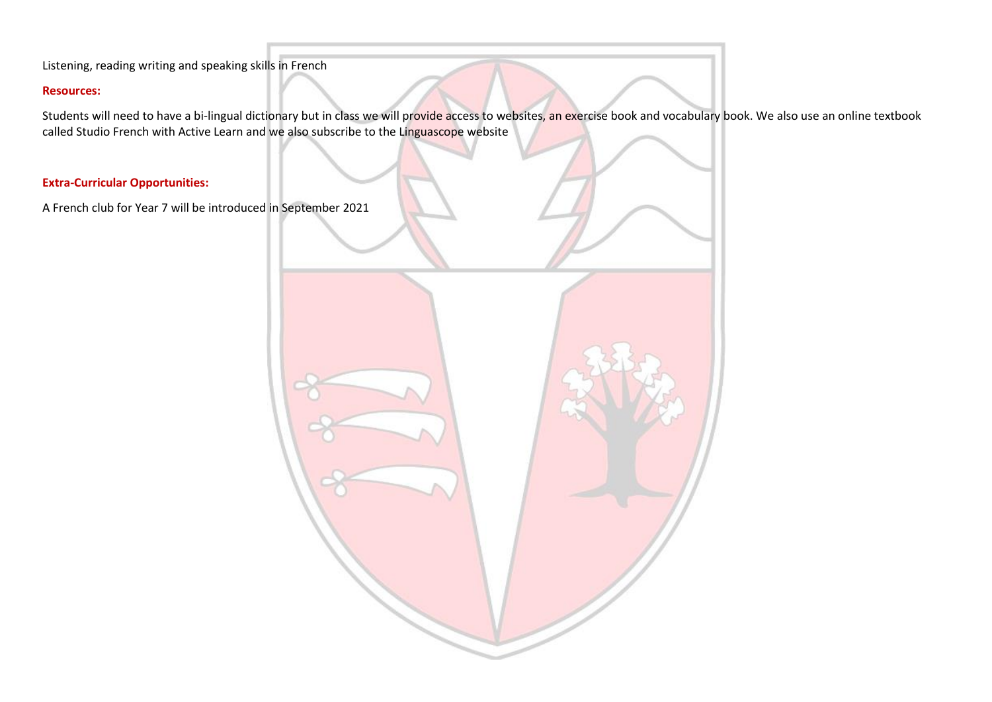Listening, reading writing and speaking skills in French

# **Resources:**

Students will need to have a bi-lingual dictionary but in class we will provide access to websites, an exercise book and vocabulary book. We also use an online textbook called Studio French with Active Learn and we also subscribe to the Linguascope website

# **Extra-Curricular Opportunities:**

A French club for Year 7 will be introduced in September 2021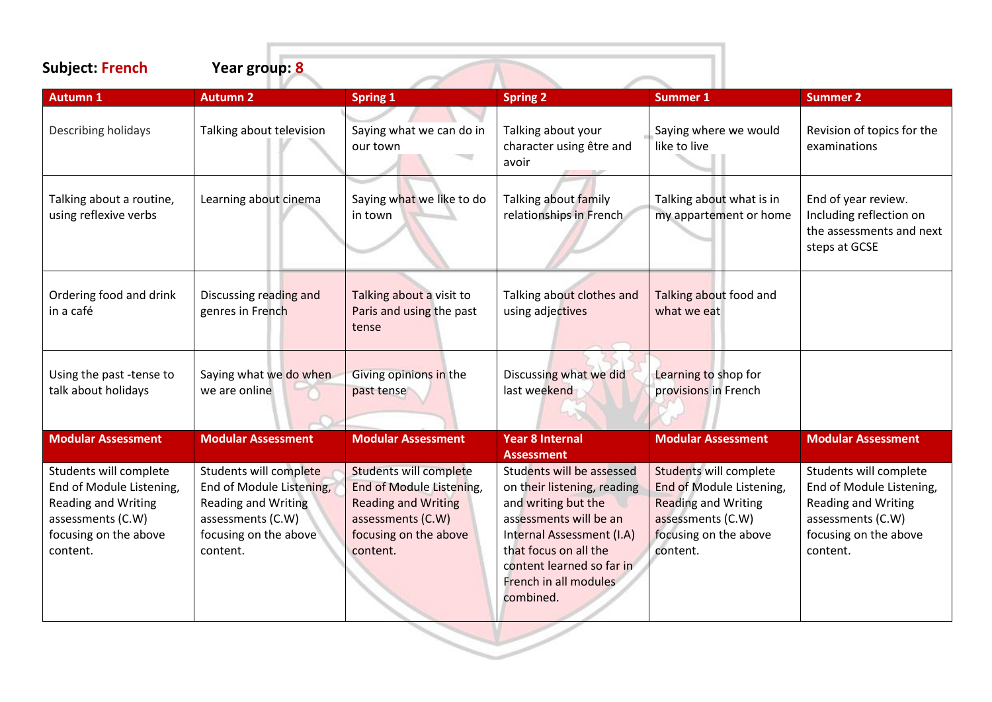| <b>Subject: French</b>                                                                                                                     | Year group: 8                                                                                                                              |                                                                                                                                            |                                                                                                                                                                                                                                    |                                                                                                                                            |                                                                                                                                            |
|--------------------------------------------------------------------------------------------------------------------------------------------|--------------------------------------------------------------------------------------------------------------------------------------------|--------------------------------------------------------------------------------------------------------------------------------------------|------------------------------------------------------------------------------------------------------------------------------------------------------------------------------------------------------------------------------------|--------------------------------------------------------------------------------------------------------------------------------------------|--------------------------------------------------------------------------------------------------------------------------------------------|
| <b>Autumn 1</b>                                                                                                                            | <b>Autumn 2</b>                                                                                                                            | <b>Spring 1</b>                                                                                                                            | <b>Spring 2</b>                                                                                                                                                                                                                    | <b>Summer 1</b>                                                                                                                            | <b>Summer 2</b>                                                                                                                            |
| Describing holidays                                                                                                                        | Talking about television                                                                                                                   | Saying what we can do in<br>our town                                                                                                       | Talking about your<br>character using être and<br>avoir                                                                                                                                                                            | Saying where we would<br>like to live                                                                                                      | Revision of topics for the<br>examinations                                                                                                 |
| Talking about a routine,<br>using reflexive verbs                                                                                          | Learning about cinema                                                                                                                      | Saying what we like to do<br>in town                                                                                                       | Talking about family<br>relationships in French                                                                                                                                                                                    | Talking about what is in<br>my appartement or home                                                                                         | End of year review.<br>Including reflection on<br>the assessments and next<br>steps at GCSE                                                |
| Ordering food and drink<br>in a café                                                                                                       | Discussing reading and<br>genres in French                                                                                                 | Talking about a visit to<br>Paris and using the past<br>tense                                                                              | Talking about clothes and<br>using adjectives                                                                                                                                                                                      | Talking about food and<br>what we eat                                                                                                      |                                                                                                                                            |
| Using the past-tense to<br>talk about holidays                                                                                             | Saying what we do when<br>we are online                                                                                                    | Giving opinions in the<br>past tense                                                                                                       | Discussing what we did<br>last weekend                                                                                                                                                                                             | Learning to shop for<br>provisions in French                                                                                               |                                                                                                                                            |
| <b>Modular Assessment</b>                                                                                                                  | <b>Modular Assessment</b>                                                                                                                  | <b>Modular Assessment</b>                                                                                                                  | <b>Year 8 Internal</b><br><b>Assessment</b>                                                                                                                                                                                        | <b>Modular Assessment</b>                                                                                                                  | <b>Modular Assessment</b>                                                                                                                  |
| Students will complete<br>End of Module Listening,<br><b>Reading and Writing</b><br>assessments (C.W)<br>focusing on the above<br>content. | Students will complete<br>End of Module Listening,<br><b>Reading and Writing</b><br>assessments (C.W)<br>focusing on the above<br>content. | Students will complete<br>End of Module Listening,<br><b>Reading and Writing</b><br>assessments (C.W)<br>focusing on the above<br>content. | Students will be assessed<br>on their listening, reading<br>and writing but the<br>assessments will be an<br>Internal Assessment (I.A)<br>that focus on all the<br>content learned so far in<br>French in all modules<br>combined. | Students will complete<br>End of Module Listening,<br><b>Reading and Writing</b><br>assessments (C.W)<br>focusing on the above<br>content. | Students will complete<br>End of Module Listening,<br><b>Reading and Writing</b><br>assessments (C.W)<br>focusing on the above<br>content. |
|                                                                                                                                            |                                                                                                                                            |                                                                                                                                            |                                                                                                                                                                                                                                    |                                                                                                                                            |                                                                                                                                            |

 $\sim$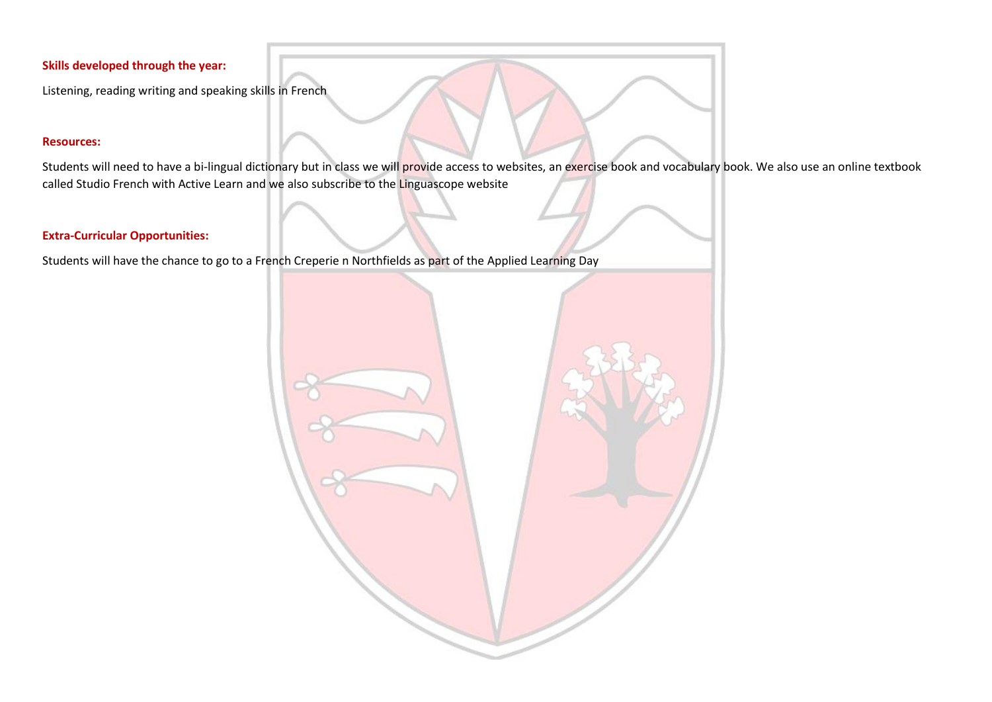Listening, reading writing and speaking skills in French

### **Resources:**

Students will need to have a bi-lingual dictionary but in class we will provide access to websites, an exercise book and vocabulary book. We also use an online textbook called Studio French with Active Learn and we also subscribe to the Linguascope website

# **Extra-Curricular Opportunities:**

Students will have the chance to go to a French Creperie n Northfields as part of the Applied Learning Day

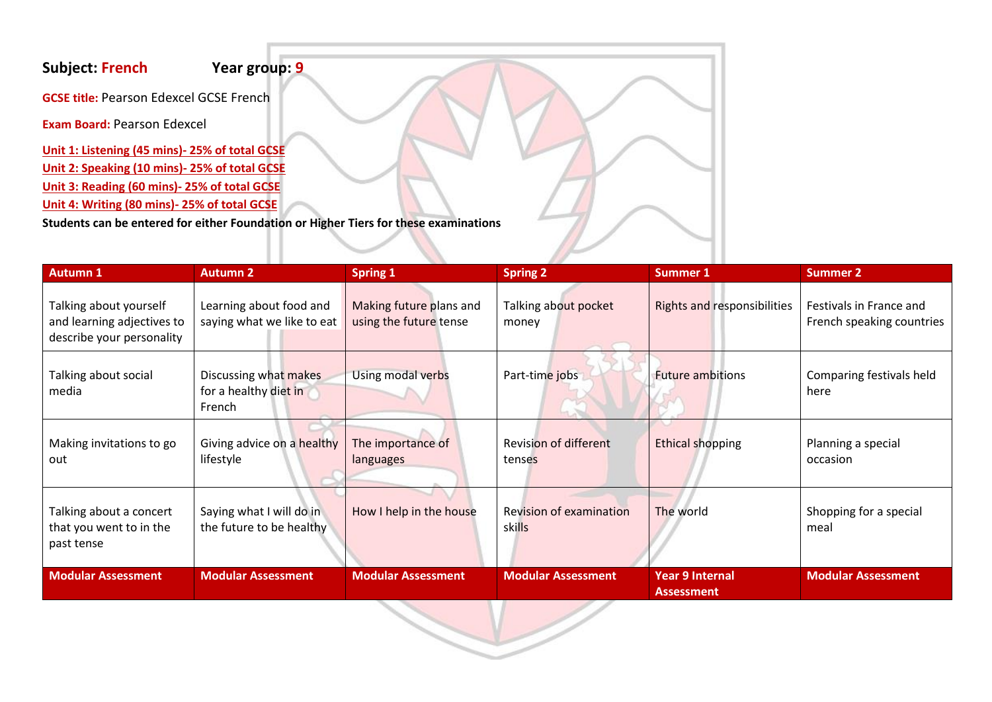# **Subject: French Year group: 9**

**GCSE title: Pearson Edexcel GCSE French** 

**Exam Board:** Pearson Edexcel

**Unit 1: Listening (45 mins)- 25% of total GCSE Unit 2: Speaking (10 mins)- 25% of total GCSE Unit 3: Reading (60 mins)- 25% of total GCSE Unit 4: Writing (80 mins)- 25% of total GCSE**

**Students can be entered for either Foundation or Higher Tiers for these examinations**

| <b>Autumn 1</b>                                                                   | <b>Autumn 2</b>                                          | <b>Spring 1</b>                                   | <b>Spring 2</b>                          | <b>Summer 1</b>                             | <b>Summer 2</b>                                      |
|-----------------------------------------------------------------------------------|----------------------------------------------------------|---------------------------------------------------|------------------------------------------|---------------------------------------------|------------------------------------------------------|
| Talking about yourself<br>and learning adjectives to<br>describe your personality | Learning about food and<br>saying what we like to eat    | Making future plans and<br>using the future tense | Talking about pocket<br>money            | <b>Rights and responsibilities</b>          | Festivals in France and<br>French speaking countries |
| Talking about social<br>media                                                     | Discussing what makes<br>for a healthy diet in<br>French | Using modal verbs                                 | Part-time jobs                           | <b>Future ambitions</b>                     | Comparing festivals held<br>here                     |
| Making invitations to go<br>out                                                   | Giving advice on a healthy<br>lifestyle                  | The importance of<br>languages                    | <b>Revision of different</b><br>tenses   | <b>Ethical shopping</b>                     | Planning a special<br>occasion                       |
| Talking about a concert<br>that you went to in the<br>past tense                  | Saying what I will do in<br>the future to be healthy     | How I help in the house                           | <b>Revision of examination</b><br>skills | The world                                   | Shopping for a special<br>meal                       |
| <b>Modular Assessment</b>                                                         | <b>Modular Assessment</b>                                | <b>Modular Assessment</b>                         | <b>Modular Assessment</b>                | <b>Year 9 Internal</b><br><b>Assessment</b> | <b>Modular Assessment</b>                            |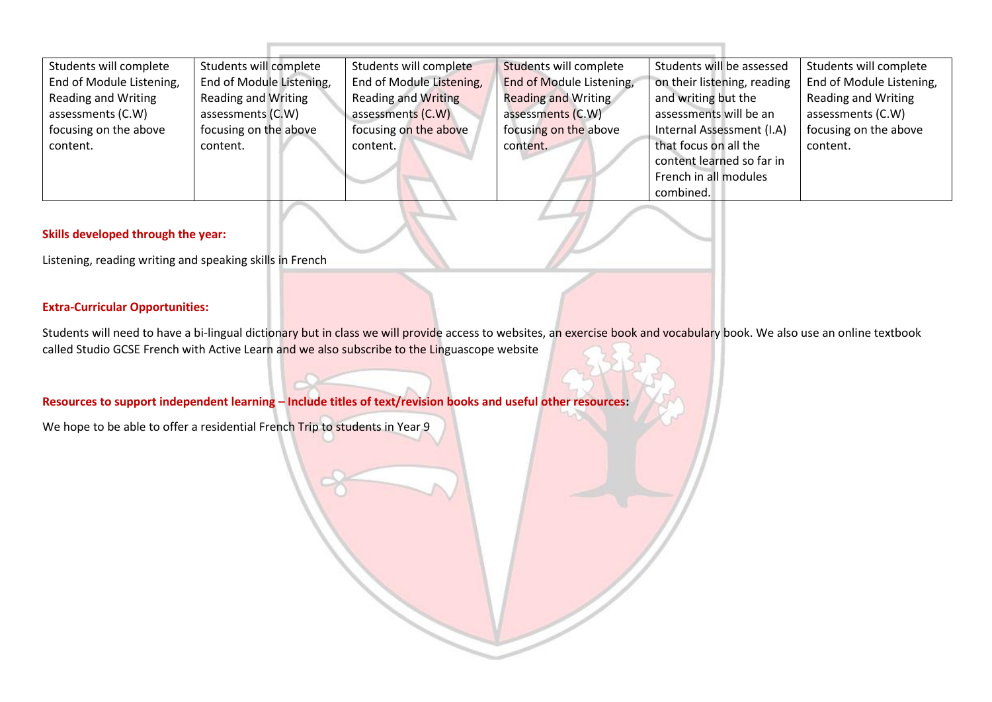| Students will complete   | Students will complete     | Students will complete     | Students will complete     | Students will be assessed   | Students will complete     |
|--------------------------|----------------------------|----------------------------|----------------------------|-----------------------------|----------------------------|
| End of Module Listening, | End of Module Listening,   | End of Module Listening,   | End of Module Listening,   | on their listening, reading | End of Module Listening,   |
| Reading and Writing      | <b>Reading and Writing</b> | <b>Reading and Writing</b> | <b>Reading and Writing</b> | and writing but the         | <b>Reading and Writing</b> |
| assessments (C.W)        | assessments (C.W)          | assessments (C.W)          | assessments (C.W)          | assessments will be an      | assessments (C.W)          |
| focusing on the above    | focusing on the above      | focusing on the above      | focusing on the above      | Internal Assessment (I.A)   | focusing on the above      |
| content.                 | content.                   | content.                   | content.                   | that focus on all the       | content.                   |
|                          |                            |                            |                            | content learned so far in   |                            |
|                          |                            |                            |                            | French in all modules       |                            |
|                          |                            |                            |                            | combined.                   |                            |

Listening, reading writing and speaking skills in French

### **Extra-Curricular Opportunities:**

Students will need to have a bi-lingual dictionary but in class we will provide access to websites, an exercise book and vocabulary book. We also use an online textbook called Studio GCSE French with Active Learn and we also subscribe to the Linguascope website

# **Resources to support independent learning – Include titles of text/revision books and useful other resources:**

We hope to be able to offer a residential French Trip to students in Year 9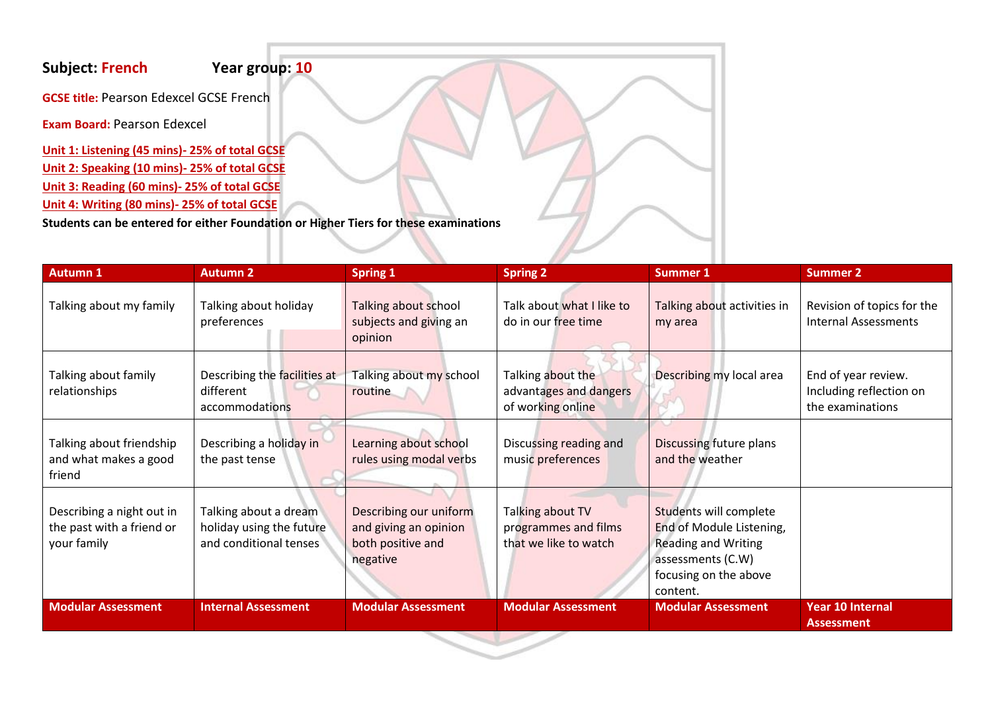# **Subject: French Year group: 10**

**GCSE title: Pearson Edexcel GCSE French** 

**Exam Board:** Pearson Edexcel

**Unit 1: Listening (45 mins)- 25% of total GCSE Unit 2: Speaking (10 mins)- 25% of total GCSE Unit 3: Reading (60 mins)- 25% of total GCSE Unit 4: Writing (80 mins)- 25% of total GCSE**

**Students can be entered for either Foundation or Higher Tiers for these examinations**

| <b>Autumn 1</b>                                                       | <b>Autumn 2</b>                                                             | <b>Spring 1</b>                                                                  | <b>Spring 2</b>                                                   | <b>Summer 1</b>                                                                                                                            | <b>Summer 2</b>                                                    |
|-----------------------------------------------------------------------|-----------------------------------------------------------------------------|----------------------------------------------------------------------------------|-------------------------------------------------------------------|--------------------------------------------------------------------------------------------------------------------------------------------|--------------------------------------------------------------------|
| Talking about my family                                               | Talking about holiday<br>preferences                                        | Talking about school<br>subjects and giving an<br>opinion                        | Talk about what I like to<br>do in our free time                  | Talking about activities in<br>my area                                                                                                     | Revision of topics for the<br><b>Internal Assessments</b>          |
| Talking about family<br>relationships                                 | Describing the facilities at<br>different<br>accommodations                 | Talking about my school<br>routine                                               | Talking about the<br>advantages and dangers<br>of working online  | Describing my local area                                                                                                                   | End of year review.<br>Including reflection on<br>the examinations |
| Talking about friendship<br>and what makes a good<br>friend           | Describing a holiday in<br>the past tense                                   | Learning about school<br>rules using modal verbs                                 | Discussing reading and<br>music preferences                       | Discussing future plans<br>and the weather                                                                                                 |                                                                    |
| Describing a night out in<br>the past with a friend or<br>your family | Talking about a dream<br>holiday using the future<br>and conditional tenses | Describing our uniform<br>and giving an opinion<br>both positive and<br>negative | Talking about TV<br>programmes and films<br>that we like to watch | Students will complete<br>End of Module Listening,<br><b>Reading and Writing</b><br>assessments (C.W)<br>focusing on the above<br>content. |                                                                    |
| <b>Modular Assessment</b>                                             | <b>Internal Assessment</b>                                                  | <b>Modular Assessment</b>                                                        | <b>Modular Assessment</b>                                         | <b>Modular Assessment</b>                                                                                                                  | <b>Year 10 Internal</b><br><b>Assessment</b>                       |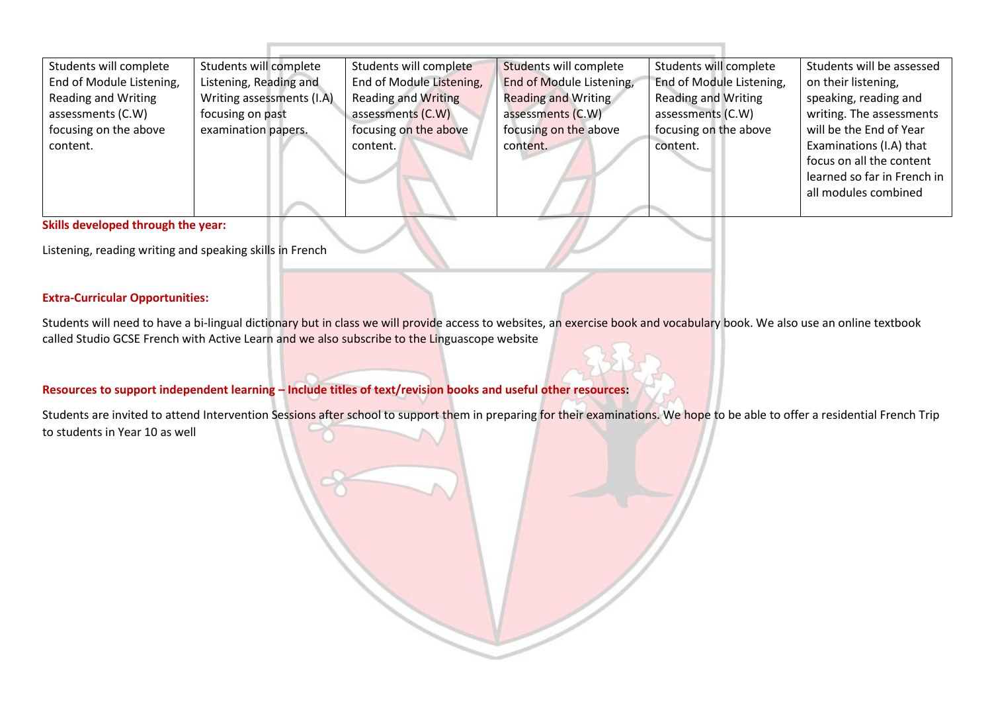| Students will complete   | Students will complete    | Students will complete     | Students will complete     | Students will complete     | Students will be assessed   |
|--------------------------|---------------------------|----------------------------|----------------------------|----------------------------|-----------------------------|
| End of Module Listening, | Listening, Reading and    | End of Module Listening,   | End of Module Listening,   | End of Module Listening,   | on their listening,         |
| Reading and Writing      | Writing assessments (I.A) | <b>Reading and Writing</b> | <b>Reading and Writing</b> | <b>Reading and Writing</b> | speaking, reading and       |
| assessments (C.W)        | focusing on past          | assessments (C.W)          | assessments (C.W)          | assessments (C.W)          | writing. The assessments    |
| focusing on the above    | examination papers.       | focusing on the above      | focusing on the above      | focusing on the above      | will be the End of Year     |
| content.                 |                           | content.                   | content.                   | content.                   | Examinations (I.A) that     |
|                          |                           |                            |                            |                            | focus on all the content    |
|                          |                           |                            |                            |                            | learned so far in French in |
|                          |                           |                            |                            |                            | all modules combined        |
|                          |                           |                            |                            |                            |                             |

Listening, reading writing and speaking skills in French

### **Extra-Curricular Opportunities:**

Students will need to have a bi-lingual dictionary but in class we will provide access to websites, an exercise book and vocabulary book. We also use an online textbook called Studio GCSE French with Active Learn and we also subscribe to the Linguascope website

## **Resources to support independent learning – Include titles of text/revision books and useful other resources:**

Students are invited to attend Intervention Sessions after school to support them in preparing for their examinations. We hope to be able to offer a residential French Trip to students in Year 10 as well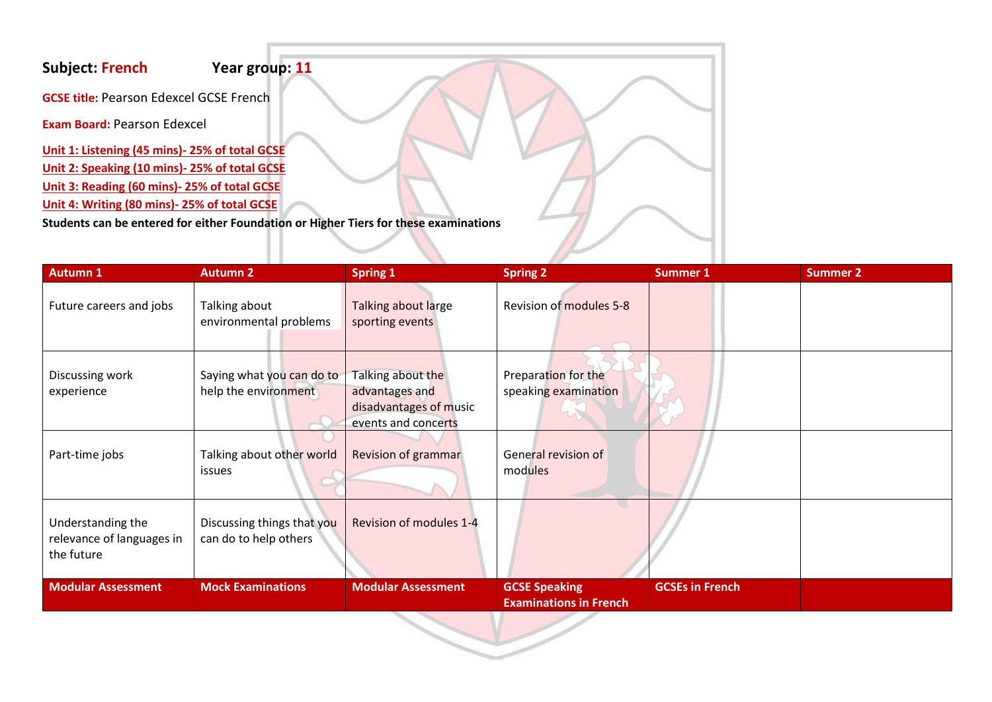# **Subject: French Year group: 11**

**GCSE title: Pearson Edexcel GCSE French** 

**Exam Board:** Pearson Edexcel

**Unit 1: Listening (45 mins)- 25% of total GCSE Unit 2: Speaking (10 mins)- 25% of total GCSE Unit 3: Reading (60 mins)- 25% of total GCSE Unit 4: Writing (80 mins)- 25% of total GCSE**

**Students can be entered for either Foundation or Higher Tiers for these examinations**

| <b>Autumn 1</b>                                              | <b>Autumn 2</b>                                     | <b>Spring 1</b>                                                                      | <b>Spring 2</b>                                       | <b>Summer 1</b>        | <b>Summer 2</b> |
|--------------------------------------------------------------|-----------------------------------------------------|--------------------------------------------------------------------------------------|-------------------------------------------------------|------------------------|-----------------|
| Future careers and jobs                                      | Talking about<br>environmental problems             | Talking about large<br>sporting events                                               | <b>Revision of modules 5-8</b>                        |                        |                 |
| Discussing work<br>experience                                | Saying what you can do to<br>help the environment   | Talking about the<br>advantages and<br>disadvantages of music<br>events and concerts | Preparation for the<br>speaking examination           |                        |                 |
| Part-time jobs                                               | Talking about other world<br><i>issues</i>          | Revision of grammar                                                                  | General revision of<br>modules                        |                        |                 |
| Understanding the<br>relevance of languages in<br>the future | Discussing things that you<br>can do to help others | Revision of modules 1-4                                                              |                                                       |                        |                 |
| <b>Modular Assessment</b>                                    | <b>Mock Examinations</b>                            | <b>Modular Assessment</b>                                                            | <b>GCSE Speaking</b><br><b>Examinations in French</b> | <b>GCSEs in French</b> |                 |